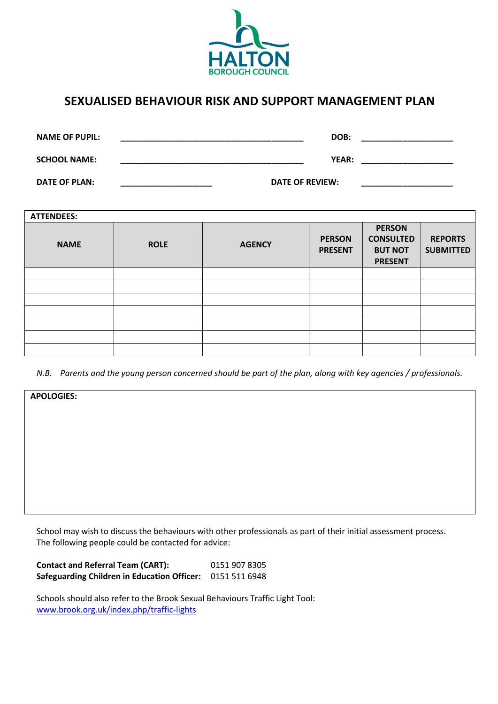

# **SEXUALISED BEHAVIOUR RISK AND SUPPORT MANAGEMENT PLAN**

| <b>NAME OF PUPIL:</b> | DOB:            |
|-----------------------|-----------------|
| <b>SCHOOL NAME:</b>   | YEAR:           |
| <b>DATE OF PLAN:</b>  | DATE OF REVIEW: |

| <b>ATTENDEES:</b> |             |               |                                 |                                                                       |                                    |  |
|-------------------|-------------|---------------|---------------------------------|-----------------------------------------------------------------------|------------------------------------|--|
| <b>NAME</b>       | <b>ROLE</b> | <b>AGENCY</b> | <b>PERSON</b><br><b>PRESENT</b> | <b>PERSON</b><br><b>CONSULTED</b><br><b>BUT NOT</b><br><b>PRESENT</b> | <b>REPORTS</b><br><b>SUBMITTED</b> |  |
|                   |             |               |                                 |                                                                       |                                    |  |
|                   |             |               |                                 |                                                                       |                                    |  |
|                   |             |               |                                 |                                                                       |                                    |  |
|                   |             |               |                                 |                                                                       |                                    |  |
|                   |             |               |                                 |                                                                       |                                    |  |
|                   |             |               |                                 |                                                                       |                                    |  |
|                   |             |               |                                 |                                                                       |                                    |  |

*N.B. Parents and the young person concerned should be part of the plan, along with key agencies / professionals.*

| <b>APOLOGIES:</b> |  |
|-------------------|--|
|                   |  |
|                   |  |
|                   |  |
|                   |  |
|                   |  |
|                   |  |
|                   |  |
|                   |  |

School may wish to discuss the behaviours with other professionals as part of their initial assessment process. The following people could be contacted for advice:

**Contact and Referral Team (CART):** 0151 907 8305 **Safeguarding Children in Education Officer:** 0151 511 6948

Schools should also refer to the Brook Sexual Behaviours Traffic Light Tool: [www.brook.org.uk/index.php/traffic-lights](http://www.brook.org.uk/index.php/traffic-lights)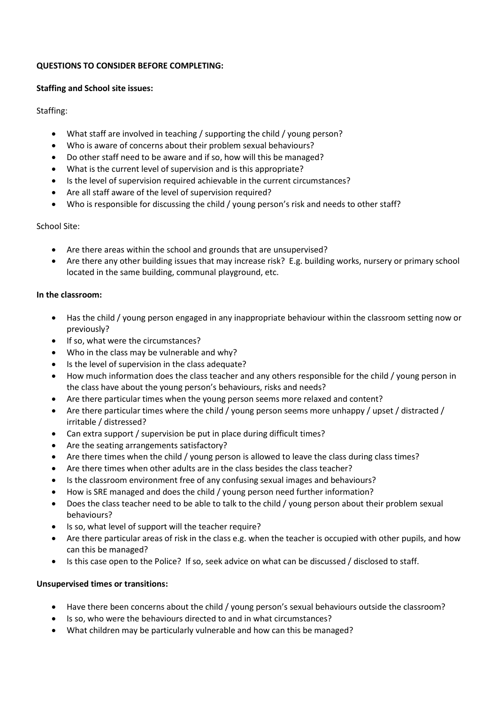#### **QUESTIONS TO CONSIDER BEFORE COMPLETING:**

#### **Staffing and School site issues:**

Staffing:

- What staff are involved in teaching / supporting the child / young person?
- Who is aware of concerns about their problem sexual behaviours?
- Do other staff need to be aware and if so, how will this be managed?
- What is the current level of supervision and is this appropriate?
- Is the level of supervision required achievable in the current circumstances?
- Are all staff aware of the level of supervision required?
- Who is responsible for discussing the child / young person's risk and needs to other staff?

### School Site:

- Are there areas within the school and grounds that are unsupervised?
- Are there any other building issues that may increase risk? E.g. building works, nursery or primary school located in the same building, communal playground, etc.

### **In the classroom:**

- Has the child / young person engaged in any inappropriate behaviour within the classroom setting now or previously?
- If so, what were the circumstances?
- Who in the class may be vulnerable and why?
- Is the level of supervision in the class adequate?
- How much information does the class teacher and any others responsible for the child / young person in the class have about the young person's behaviours, risks and needs?
- Are there particular times when the young person seems more relaxed and content?
- Are there particular times where the child / young person seems more unhappy / upset / distracted / irritable / distressed?
- Can extra support / supervision be put in place during difficult times?
- Are the seating arrangements satisfactory?
- Are there times when the child / young person is allowed to leave the class during class times?
- Are there times when other adults are in the class besides the class teacher?
- Is the classroom environment free of any confusing sexual images and behaviours?
- How is SRE managed and does the child / young person need further information?
- Does the class teacher need to be able to talk to the child / young person about their problem sexual behaviours?
- Is so, what level of support will the teacher require?
- Are there particular areas of risk in the class e.g. when the teacher is occupied with other pupils, and how can this be managed?
- Is this case open to the Police? If so, seek advice on what can be discussed / disclosed to staff.

### **Unsupervised times or transitions:**

- Have there been concerns about the child / young person's sexual behaviours outside the classroom?
- Is so, who were the behaviours directed to and in what circumstances?
- What children may be particularly vulnerable and how can this be managed?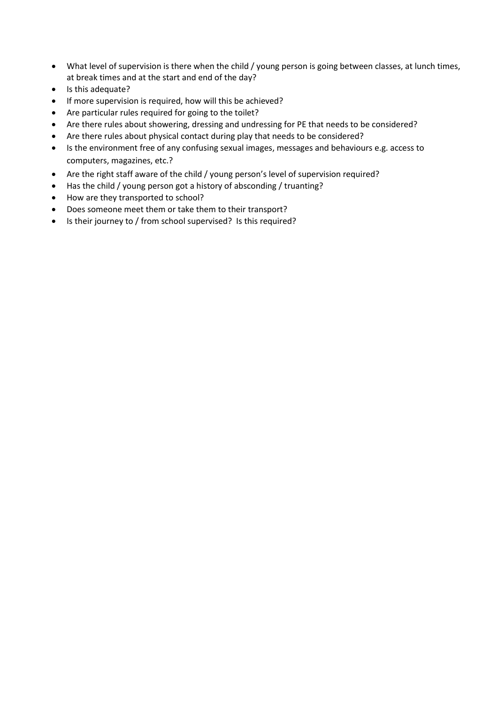- What level of supervision is there when the child / young person is going between classes, at lunch times, at break times and at the start and end of the day?
- Is this adequate?
- If more supervision is required, how will this be achieved?
- Are particular rules required for going to the toilet?
- Are there rules about showering, dressing and undressing for PE that needs to be considered?
- Are there rules about physical contact during play that needs to be considered?
- Is the environment free of any confusing sexual images, messages and behaviours e.g. access to computers, magazines, etc.?
- Are the right staff aware of the child / young person's level of supervision required?
- Has the child / young person got a history of absconding / truanting?
- How are they transported to school?
- Does someone meet them or take them to their transport?
- Is their journey to / from school supervised? Is this required?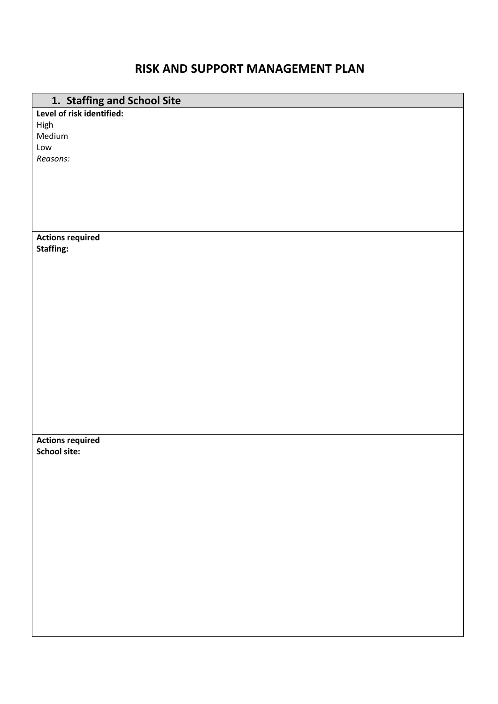## **RISK AND SUPPORT MANAGEMENT PLAN**

| 1. Staffing and School Site |
|-----------------------------|
| Level of risk identified:   |
| High                        |
| Medium                      |
| Low                         |
| Reasons:                    |
|                             |
|                             |
|                             |
|                             |
|                             |
|                             |
| <b>Actions required</b>     |
| <b>Staffing:</b>            |
|                             |
|                             |
|                             |
|                             |
|                             |
|                             |
|                             |
|                             |
|                             |
|                             |
|                             |
|                             |
|                             |
|                             |
|                             |
| <b>Actions required</b>     |
| <b>School site:</b>         |
|                             |
|                             |
|                             |
|                             |
|                             |
|                             |
|                             |
|                             |
|                             |
|                             |
|                             |
|                             |
|                             |
|                             |
|                             |
|                             |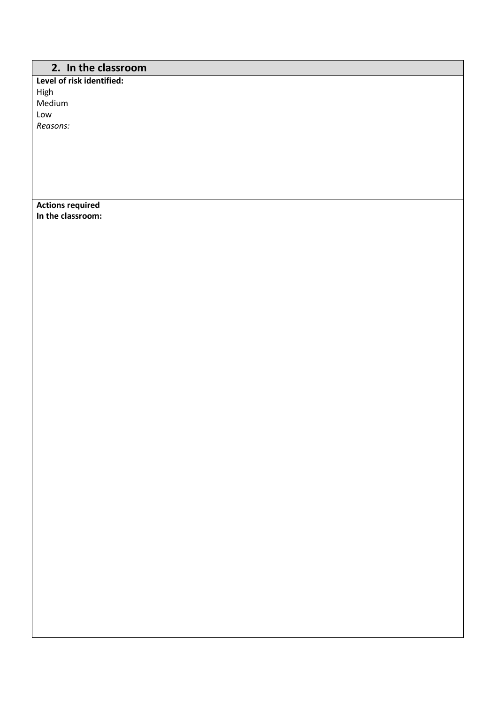## **2. In the classroom**

**Level of risk identified:** High Medium Low *Reasons:*

**Actions required In the classroom:**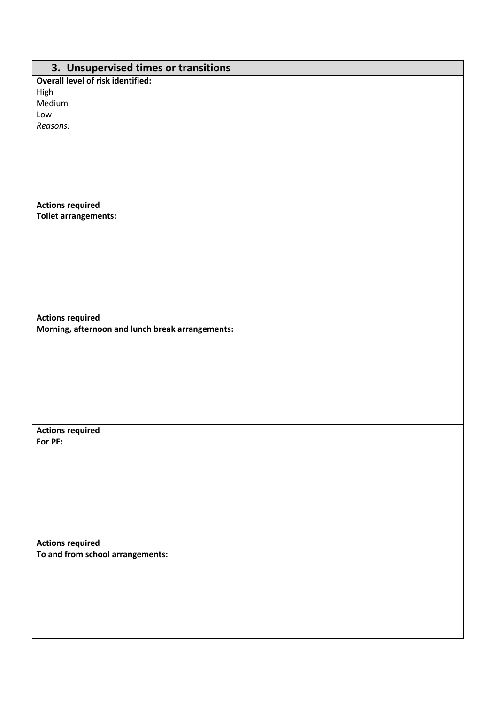| 3. Unsupervised times or transitions             |
|--------------------------------------------------|
| <b>Overall level of risk identified:</b>         |
| High                                             |
| Medium                                           |
| Low                                              |
| Reasons:                                         |
|                                                  |
|                                                  |
|                                                  |
|                                                  |
|                                                  |
| <b>Actions required</b>                          |
| <b>Toilet arrangements:</b>                      |
|                                                  |
|                                                  |
|                                                  |
|                                                  |
|                                                  |
|                                                  |
|                                                  |
|                                                  |
| <b>Actions required</b>                          |
| Morning, afternoon and lunch break arrangements: |
|                                                  |
|                                                  |
|                                                  |
|                                                  |
|                                                  |
|                                                  |
|                                                  |
| <b>Actions required</b>                          |
| For PE:                                          |
|                                                  |
|                                                  |
|                                                  |
|                                                  |
|                                                  |
|                                                  |
|                                                  |
| <b>Actions required</b>                          |
| To and from school arrangements:                 |
|                                                  |
|                                                  |
|                                                  |
|                                                  |
|                                                  |
|                                                  |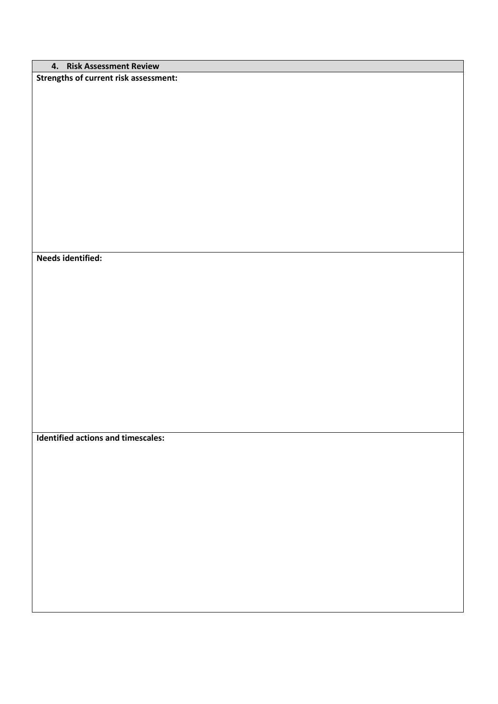|  | 4. Risk Assessment Review |
|--|---------------------------|
|--|---------------------------|

**Strengths of current risk assessment:**

**Needs identified:**

**Identified actions and timescales:**